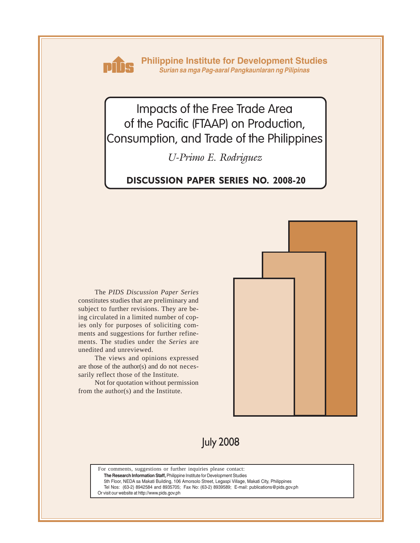

**Philippine Institute for Development Studies** *Surian sa mga Pag-aaral Pangkaunlaran ng Pilipinas*

Impacts of the Free Trade Area of the Pacific (FTAAP) on Production, Consumption, and Trade of the Philippines

*U-Primo E. Rodriguez*

# **DISCUSSION PAPER SERIES NO. 2008-20**

The *PIDS Discussion Paper Series* constitutes studies that are preliminary and subject to further revisions. They are being circulated in a limited number of copies only for purposes of soliciting comments and suggestions for further refinements. The studies under the *Series* are unedited and unreviewed.

The views and opinions expressed are those of the author(s) and do not necessarily reflect those of the Institute.

Not for quotation without permission from the author(s) and the Institute.



July 2008

For comments, suggestions or further inquiries please contact:

**The Research Information Staff,** Philippine Institute for Development Studies

5th Floor, NEDA sa Makati Building, 106 Amorsolo Street, Legaspi Village, Makati City, Philippines

Tel Nos: (63-2) 8942584 and 8935705; Fax No: (63-2) 8939589; E-mail: publications@pids.gov.ph

Or visit our website at http://www.pids.gov.ph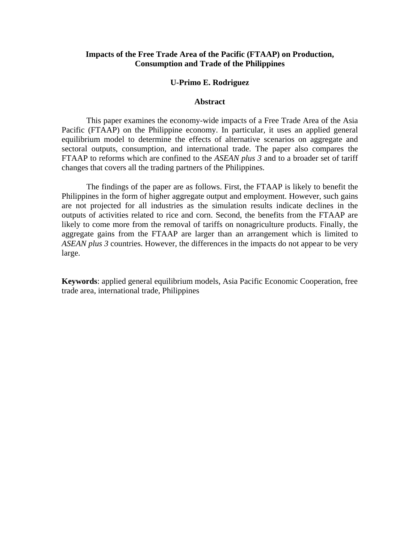### **Impacts of the Free Trade Area of the Pacific (FTAAP) on Production, Consumption and Trade of the Philippines**

#### **U-Primo E. Rodriguez**

#### **Abstract**

 This paper examines the economy-wide impacts of a Free Trade Area of the Asia Pacific (FTAAP) on the Philippine economy. In particular, it uses an applied general equilibrium model to determine the effects of alternative scenarios on aggregate and sectoral outputs, consumption, and international trade. The paper also compares the FTAAP to reforms which are confined to the *ASEAN plus 3* and to a broader set of tariff changes that covers all the trading partners of the Philippines.

 The findings of the paper are as follows. First, the FTAAP is likely to benefit the Philippines in the form of higher aggregate output and employment. However, such gains are not projected for all industries as the simulation results indicate declines in the outputs of activities related to rice and corn. Second, the benefits from the FTAAP are likely to come more from the removal of tariffs on nonagriculture products. Finally, the aggregate gains from the FTAAP are larger than an arrangement which is limited to *ASEAN plus 3* countries. However, the differences in the impacts do not appear to be very large.

**Keywords**: applied general equilibrium models, Asia Pacific Economic Cooperation, free trade area, international trade, Philippines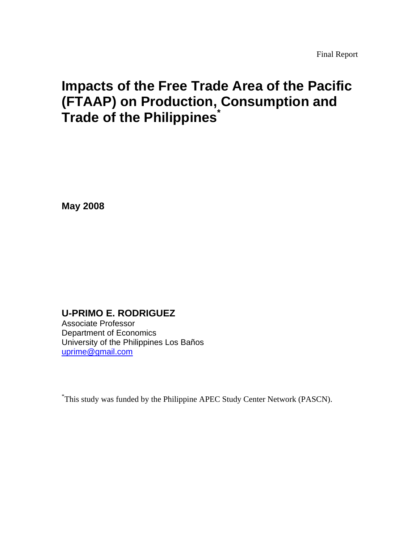# **Impacts of the Free Trade Area of the Pacific (FTAAP) on Production, Consumption and Trade of the Philippines<sup>\*</sup>**

**May 2008** 

**U-PRIMO E. RODRIGUEZ** 

Associate Professor Department of Economics University of the Philippines Los Baños uprime@gmail.com

\* This study was funded by the Philippine APEC Study Center Network (PASCN).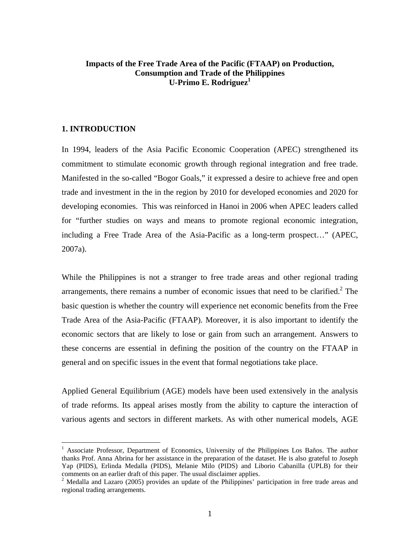# **Impacts of the Free Trade Area of the Pacific (FTAAP) on Production, Consumption and Trade of the Philippines U-Primo E. Rodriguez**

#### **1. INTRODUCTION**

1

In 1994, leaders of the Asia Pacific Economic Cooperation (APEC) strengthened its commitment to stimulate economic growth through regional integration and free trade. Manifested in the so-called "Bogor Goals," it expressed a desire to achieve free and open trade and investment in the in the region by 2010 for developed economies and 2020 for developing economies. This was reinforced in Hanoi in 2006 when APEC leaders called for "further studies on ways and means to promote regional economic integration, including a Free Trade Area of the Asia-Pacific as a long-term prospect…" (APEC, 2007a).

While the Philippines is not a stranger to free trade areas and other regional trading arrangements, there remains a number of economic issues that need to be clarified. $2$  The basic question is whether the country will experience net economic benefits from the Free Trade Area of the Asia-Pacific (FTAAP). Moreover, it is also important to identify the economic sectors that are likely to lose or gain from such an arrangement. Answers to these concerns are essential in defining the position of the country on the FTAAP in general and on specific issues in the event that formal negotiations take place.

Applied General Equilibrium (AGE) models have been used extensively in the analysis of trade reforms. Its appeal arises mostly from the ability to capture the interaction of various agents and sectors in different markets. As with other numerical models, AGE

<sup>&</sup>lt;sup>1</sup> Associate Professor, Department of Economics, University of the Philippines Los Baños. The author thanks Prof. Anna Abrina for her assistance in the preparation of the dataset. He is also grateful to Joseph Yap (PIDS), Erlinda Medalla (PIDS), Melanie Milo (PIDS) and Liborio Cabanilla (UPLB) for their comments on an earlier draft of this paper. The usual disclaimer applies.

<sup>&</sup>lt;sup>2</sup> Medalla and Lazaro (2005) provides an update of the Philippines' participation in free trade areas and regional trading arrangements.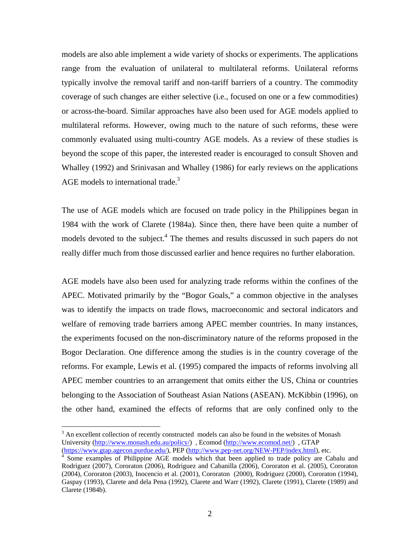models are also able implement a wide variety of shocks or experiments. The applications range from the evaluation of unilateral to multilateral reforms. Unilateral reforms typically involve the removal tariff and non-tariff barriers of a country. The commodity coverage of such changes are either selective (i.e., focused on one or a few commodities) or across-the-board. Similar approaches have also been used for AGE models applied to multilateral reforms. However, owing much to the nature of such reforms, these were commonly evaluated using multi-country AGE models. As a review of these studies is beyond the scope of this paper, the interested reader is encouraged to consult Shoven and Whalley (1992) and Srinivasan and Whalley (1986) for early reviews on the applications AGE models to international trade.<sup>3</sup>

The use of AGE models which are focused on trade policy in the Philippines began in 1984 with the work of Clarete (1984a). Since then, there have been quite a number of models devoted to the subject.<sup>4</sup> The themes and results discussed in such papers do not really differ much from those discussed earlier and hence requires no further elaboration.

AGE models have also been used for analyzing trade reforms within the confines of the APEC. Motivated primarily by the "Bogor Goals," a common objective in the analyses was to identify the impacts on trade flows, macroeconomic and sectoral indicators and welfare of removing trade barriers among APEC member countries. In many instances, the experiments focused on the non-discriminatory nature of the reforms proposed in the Bogor Declaration. One difference among the studies is in the country coverage of the reforms. For example, Lewis et al. (1995) compared the impacts of reforms involving all APEC member countries to an arrangement that omits either the US, China or countries belonging to the Association of Southeast Asian Nations (ASEAN). McKibbin (1996), on the other hand, examined the effects of reforms that are only confined only to the

1

 $3$  An excellent collection of recently constructed models can also be found in the websites of Monash University (http://www.monash.edu.au/policy/) , Ecomod (http://www.ecomod.net/) , GTAP (https://www.gtap.agecon.purdue.edu/), PEP (http://www.pep-net.org/NEW-PEP/index.html), etc. 4

<sup>&</sup>lt;sup>4</sup> Some examples of Philippine AGE models which that been applied to trade policy are Cabalu and Rodriguez (2007), Cororaton (2006), Rodriguez and Cabanilla (2006), Cororaton et al. (2005), Cororaton (2004), Cororaton (2003), Inocencio et al. (2001), Cororaton (2000), Rodriguez (2000), Cororaton (1994), Gaspay (1993), Clarete and dela Pena (1992), Clarete and Warr (1992), Clarete (1991), Clarete (1989) and Clarete (1984b).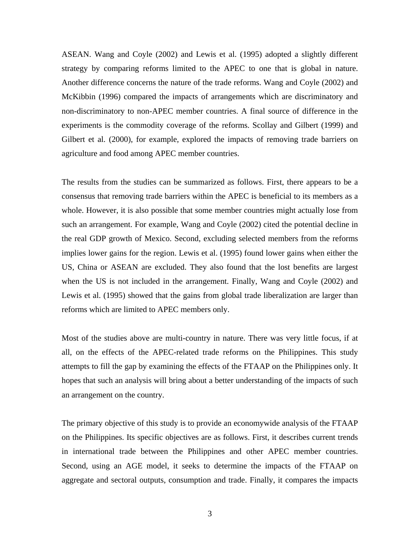ASEAN. Wang and Coyle (2002) and Lewis et al. (1995) adopted a slightly different strategy by comparing reforms limited to the APEC to one that is global in nature. Another difference concerns the nature of the trade reforms. Wang and Coyle (2002) and McKibbin (1996) compared the impacts of arrangements which are discriminatory and non-discriminatory to non-APEC member countries. A final source of difference in the experiments is the commodity coverage of the reforms. Scollay and Gilbert (1999) and Gilbert et al. (2000), for example, explored the impacts of removing trade barriers on agriculture and food among APEC member countries.

The results from the studies can be summarized as follows. First, there appears to be a consensus that removing trade barriers within the APEC is beneficial to its members as a whole. However, it is also possible that some member countries might actually lose from such an arrangement. For example, Wang and Coyle (2002) cited the potential decline in the real GDP growth of Mexico. Second, excluding selected members from the reforms implies lower gains for the region. Lewis et al. (1995) found lower gains when either the US, China or ASEAN are excluded. They also found that the lost benefits are largest when the US is not included in the arrangement. Finally, Wang and Coyle (2002) and Lewis et al. (1995) showed that the gains from global trade liberalization are larger than reforms which are limited to APEC members only.

Most of the studies above are multi-country in nature. There was very little focus, if at all, on the effects of the APEC-related trade reforms on the Philippines. This study attempts to fill the gap by examining the effects of the FTAAP on the Philippines only. It hopes that such an analysis will bring about a better understanding of the impacts of such an arrangement on the country.

The primary objective of this study is to provide an economywide analysis of the FTAAP on the Philippines. Its specific objectives are as follows. First, it describes current trends in international trade between the Philippines and other APEC member countries. Second, using an AGE model, it seeks to determine the impacts of the FTAAP on aggregate and sectoral outputs, consumption and trade. Finally, it compares the impacts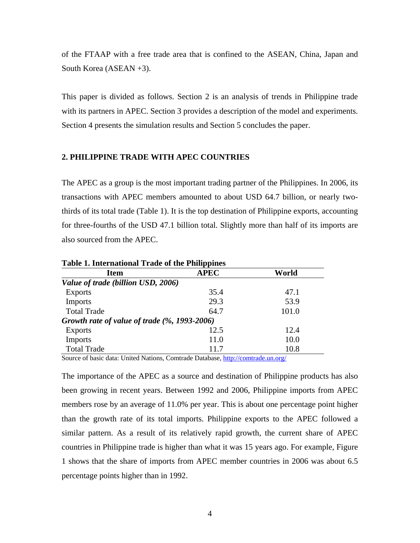of the FTAAP with a free trade area that is confined to the ASEAN, China, Japan and South Korea (ASEAN +3).

This paper is divided as follows. Section 2 is an analysis of trends in Philippine trade with its partners in APEC. Section 3 provides a description of the model and experiments. Section 4 presents the simulation results and Section 5 concludes the paper.

#### **2. PHILIPPINE TRADE WITH APEC COUNTRIES**

The APEC as a group is the most important trading partner of the Philippines. In 2006, its transactions with APEC members amounted to about USD 64.7 billion, or nearly twothirds of its total trade (Table 1). It is the top destination of Philippine exports, accounting for three-fourths of the USD 47.1 billion total. Slightly more than half of its imports are also sourced from the APEC.

|                                              | - <b>PP</b> - - - - - - |       |
|----------------------------------------------|-------------------------|-------|
| <b>Item</b>                                  | <b>APEC</b>             | World |
| Value of trade (billion USD, 2006)           |                         |       |
| <b>Exports</b>                               | 35.4                    | 47.1  |
| <b>Imports</b>                               | 29.3                    | 53.9  |
| <b>Total Trade</b>                           | 64.7                    | 101.0 |
| Growth rate of value of trade (%, 1993-2006) |                         |       |
| <b>Exports</b>                               | 12.5                    | 12.4  |
| <b>Imports</b>                               | 11.0                    | 10.0  |
| <b>Total Trade</b>                           | 11.7                    | 10.8  |

**Table 1. International Trade of the Philippines** 

Source of basic data: United Nations, Comtrade Database, http://comtrade.un.org/

The importance of the APEC as a source and destination of Philippine products has also been growing in recent years. Between 1992 and 2006, Philippine imports from APEC members rose by an average of 11.0% per year. This is about one percentage point higher than the growth rate of its total imports. Philippine exports to the APEC followed a similar pattern. As a result of its relatively rapid growth, the current share of APEC countries in Philippine trade is higher than what it was 15 years ago. For example, Figure 1 shows that the share of imports from APEC member countries in 2006 was about 6.5 percentage points higher than in 1992.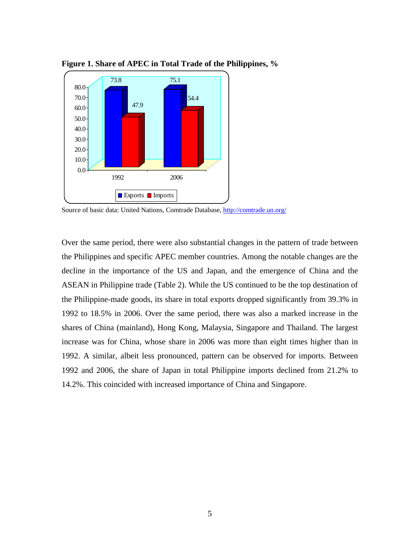

**Figure 1. Share of APEC in Total Trade of the Philippines, %** 

Over the same period, there were also substantial changes in the pattern of trade between the Philippines and specific APEC member countries. Among the notable changes are the decline in the importance of the US and Japan, and the emergence of China and the ASEAN in Philippine trade (Table 2). While the US continued to be the top destination of the Philippine-made goods, its share in total exports dropped significantly from 39.3% in 1992 to 18.5% in 2006. Over the same period, there was also a marked increase in the shares of China (mainland), Hong Kong, Malaysia, Singapore and Thailand. The largest increase was for China, whose share in 2006 was more than eight times higher than in 1992. A similar, albeit less pronounced, pattern can be observed for imports. Between 1992 and 2006, the share of Japan in total Philippine imports declined from 21.2% to 14.2%. This coincided with increased importance of China and Singapore.

Source of basic data: United Nations, Comtrade Database, http://comtrade.un.org/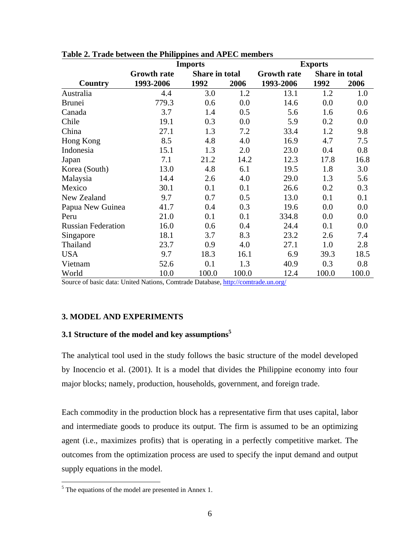|                           | <b>Imports</b>     |                |       |                    | <b>Exports</b> |       |  |  |
|---------------------------|--------------------|----------------|-------|--------------------|----------------|-------|--|--|
|                           | <b>Growth rate</b> | Share in total |       | <b>Growth rate</b> | Share in total |       |  |  |
| <b>Country</b>            | 1993-2006          | 1992           | 2006  | 1993-2006          | 1992           | 2006  |  |  |
| Australia                 | 4.4                | 3.0            | 1.2   | 13.1               | 1.2            | 1.0   |  |  |
| <b>Brunei</b>             | 779.3              | 0.6            | 0.0   | 14.6               | 0.0            | 0.0   |  |  |
| Canada                    | 3.7                | 1.4            | 0.5   | 5.6                | 1.6            | 0.6   |  |  |
| Chile                     | 19.1               | 0.3            | 0.0   | 5.9                | 0.2            | 0.0   |  |  |
| China                     | 27.1               | 1.3            | 7.2   | 33.4               | 1.2            | 9.8   |  |  |
| Hong Kong                 | 8.5                | 4.8            | 4.0   | 16.9               | 4.7            | 7.5   |  |  |
| Indonesia                 | 15.1               | 1.3            | 2.0   | 23.0               | 0.4            | 0.8   |  |  |
| Japan                     | 7.1                | 21.2           | 14.2  | 12.3               | 17.8           | 16.8  |  |  |
| Korea (South)             | 13.0               | 4.8            | 6.1   | 19.5               | 1.8            | 3.0   |  |  |
| Malaysia                  | 14.4               | 2.6            | 4.0   | 29.0               | 1.3            | 5.6   |  |  |
| Mexico                    | 30.1               | 0.1            | 0.1   | 26.6               | 0.2            | 0.3   |  |  |
| New Zealand               | 9.7                | 0.7            | 0.5   | 13.0               | 0.1            | 0.1   |  |  |
| Papua New Guinea          | 41.7               | 0.4            | 0.3   | 19.6               | 0.0            | 0.0   |  |  |
| Peru                      | 21.0               | 0.1            | 0.1   | 334.8              | 0.0            | 0.0   |  |  |
| <b>Russian Federation</b> | 16.0               | 0.6            | 0.4   | 24.4               | 0.1            | 0.0   |  |  |
| Singapore                 | 18.1               | 3.7            | 8.3   | 23.2               | 2.6            | 7.4   |  |  |
| Thailand                  | 23.7               | 0.9            | 4.0   | 27.1               | 1.0            | 2.8   |  |  |
| <b>USA</b>                | 9.7                | 18.3           | 16.1  | 6.9                | 39.3           | 18.5  |  |  |
| Vietnam                   | 52.6               | 0.1            | 1.3   | 40.9               | 0.3            | 0.8   |  |  |
| World                     | 10.0               | 100.0          | 100.0 | 12.4               | 100.0          | 100.0 |  |  |

Source of basic data: United Nations, Comtrade Database, http://comtrade.un.org/

# **3. MODEL AND EXPERIMENTS**

# **3.1 Structure of the model and key assumptions<sup>5</sup>**

The analytical tool used in the study follows the basic structure of the model developed by Inocencio et al. (2001). It is a model that divides the Philippine economy into four major blocks; namely, production, households, government, and foreign trade.

Each commodity in the production block has a representative firm that uses capital, labor and intermediate goods to produce its output. The firm is assumed to be an optimizing agent (i.e., maximizes profits) that is operating in a perfectly competitive market. The outcomes from the optimization process are used to specify the input demand and output supply equations in the model.

 $\frac{5}{10}$  The equations of the model are presented in Annex 1.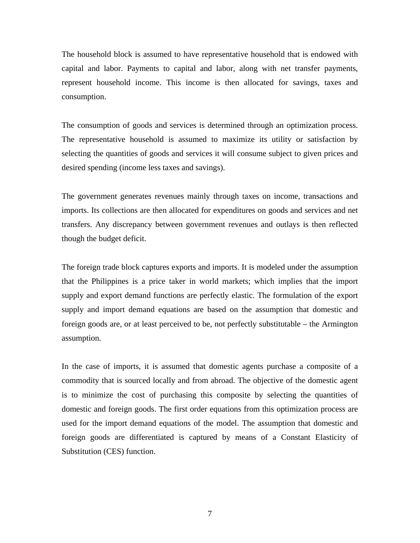The household block is assumed to have representative household that is endowed with capital and labor. Payments to capital and labor, along with net transfer payments, represent household income. This income is then allocated for savings, taxes and consumption.

The consumption of goods and services is determined through an optimization process. The representative household is assumed to maximize its utility or satisfaction by selecting the quantities of goods and services it will consume subject to given prices and desired spending (income less taxes and savings).

The government generates revenues mainly through taxes on income, transactions and imports. Its collections are then allocated for expenditures on goods and services and net transfers. Any discrepancy between government revenues and outlays is then reflected though the budget deficit.

The foreign trade block captures exports and imports. It is modeled under the assumption that the Philippines is a price taker in world markets; which implies that the import supply and export demand functions are perfectly elastic. The formulation of the export supply and import demand equations are based on the assumption that domestic and foreign goods are, or at least perceived to be, not perfectly substitutable – the Armington assumption.

In the case of imports, it is assumed that domestic agents purchase a composite of a commodity that is sourced locally and from abroad. The objective of the domestic agent is to minimize the cost of purchasing this composite by selecting the quantities of domestic and foreign goods. The first order equations from this optimization process are used for the import demand equations of the model. The assumption that domestic and foreign goods are differentiated is captured by means of a Constant Elasticity of Substitution (CES) function.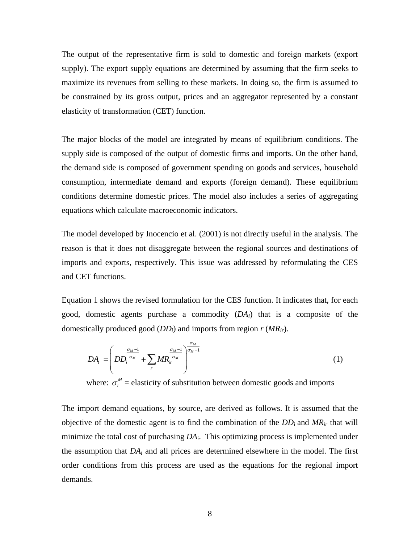The output of the representative firm is sold to domestic and foreign markets (export supply). The export supply equations are determined by assuming that the firm seeks to maximize its revenues from selling to these markets. In doing so, the firm is assumed to be constrained by its gross output, prices and an aggregator represented by a constant elasticity of transformation (CET) function.

The major blocks of the model are integrated by means of equilibrium conditions. The supply side is composed of the output of domestic firms and imports. On the other hand, the demand side is composed of government spending on goods and services, household consumption, intermediate demand and exports (foreign demand). These equilibrium conditions determine domestic prices. The model also includes a series of aggregating equations which calculate macroeconomic indicators.

The model developed by Inocencio et al. (2001) is not directly useful in the analysis. The reason is that it does not disaggregate between the regional sources and destinations of imports and exports, respectively. This issue was addressed by reformulating the CES and CET functions.

Equation 1 shows the revised formulation for the CES function. It indicates that, for each good, domestic agents purchase a commodity (*DAi*) that is a composite of the domestically produced good (*DDi*) and imports from region *r* (*MRir*).

$$
DA_i = \left( DD_i^{\frac{\sigma_M - 1}{\sigma_M}} + \sum_r MR_{ir}^{\frac{\sigma_M - 1}{\sigma_M}} \right)^{\frac{\sigma_M}{\sigma_M - 1}}
$$
(1)

where:  $\sigma_i^M$  = elasticity of substitution between domestic goods and imports

The import demand equations, by source, are derived as follows. It is assumed that the objective of the domestic agent is to find the combination of the  $DD_i$  and  $MR_{ir}$  that will minimize the total cost of purchasing *DAi*. This optimizing process is implemented under the assumption that  $DA_i$  and all prices are determined elsewhere in the model. The first order conditions from this process are used as the equations for the regional import demands.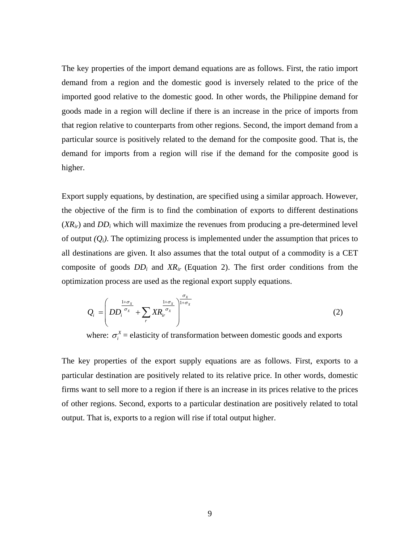The key properties of the import demand equations are as follows. First, the ratio import demand from a region and the domestic good is inversely related to the price of the imported good relative to the domestic good. In other words, the Philippine demand for goods made in a region will decline if there is an increase in the price of imports from that region relative to counterparts from other regions. Second, the import demand from a particular source is positively related to the demand for the composite good. That is, the demand for imports from a region will rise if the demand for the composite good is higher.

Export supply equations, by destination, are specified using a similar approach. However, the objective of the firm is to find the combination of exports to different destinations  $(XR_{ir})$  and  $DD_i$  which will maximize the revenues from producing a pre-determined level of output  $(Q_i)$ . The optimizing process is implemented under the assumption that prices to all destinations are given. It also assumes that the total output of a commodity is a CET composite of goods *DDi* and *XRir* (Equation 2). The first order conditions from the optimization process are used as the regional export supply equations.

$$
Q_i = \left( DD_i^{\frac{1+\sigma_x}{\sigma_x}} + \sum_r XR_{ir}^{\frac{1+\sigma_x}{\sigma_x}} \right)^{\frac{\sigma_x}{1+\sigma_x}}
$$
(2)

where:  $\sigma_i^X$  = elasticity of transformation between domestic goods and exports

The key properties of the export supply equations are as follows. First, exports to a particular destination are positively related to its relative price. In other words, domestic firms want to sell more to a region if there is an increase in its prices relative to the prices of other regions. Second, exports to a particular destination are positively related to total output. That is, exports to a region will rise if total output higher.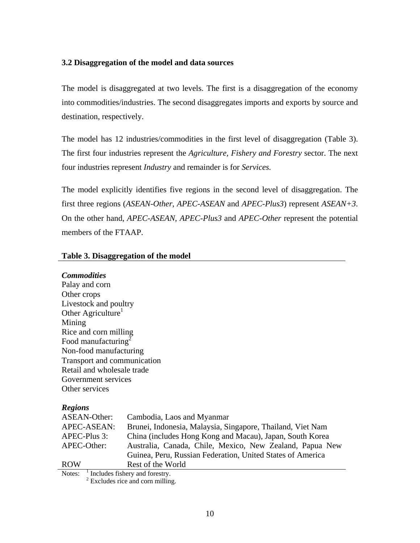# **3.2 Disaggregation of the model and data sources**

The model is disaggregated at two levels. The first is a disaggregation of the economy into commodities/industries. The second disaggregates imports and exports by source and destination, respectively.

The model has 12 industries/commodities in the first level of disaggregation (Table 3). The first four industries represent the *Agriculture, Fishery and Forestry* sector. The next four industries represent *Industry* and remainder is for *Services.* 

The model explicitly identifies five regions in the second level of disaggregation. The first three regions (*ASEAN-Other*, *APEC-ASEAN* and *APEC-Plus3*) represent *ASEAN+3*. On the other hand, *APEC-ASEAN*, *APEC-Plus3* and *APEC-Other* represent the potential members of the FTAAP.

# **Table 3. Disaggregation of the model**

# *Commodities*

Palay and corn Other crops Livestock and poultry Other Agriculture<sup>1</sup> Mining Rice and corn milling Food manufacturing $2$ Non-food manufacturing Transport and communication Retail and wholesale trade Government services Other services

# *Regions*

| ASEAN-Other: | Cambodia, Laos and Myanmar                                 |
|--------------|------------------------------------------------------------|
| APEC-ASEAN:  | Brunei, Indonesia, Malaysia, Singapore, Thailand, Viet Nam |
| APEC-Plus 3: | China (includes Hong Kong and Macau), Japan, South Korea   |
| APEC-Other:  | Australia, Canada, Chile, Mexico, New Zealand, Papua New   |
|              | Guinea, Peru, Russian Federation, United States of America |
| <b>ROW</b>   | Rest of the World                                          |
| Notes:       | Includes fishery and forestry                              |

Notes:  $\frac{1}{2}$  Includes fishery and forestry.<br><sup>2</sup> Excludes rice and corn milling.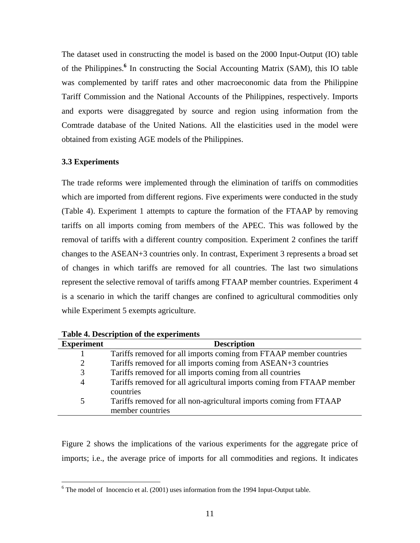The dataset used in constructing the model is based on the 2000 Input-Output (IO) table of the Philippines.**<sup>6</sup>** In constructing the Social Accounting Matrix (SAM), this IO table was complemented by tariff rates and other macroeconomic data from the Philippine Tariff Commission and the National Accounts of the Philippines, respectively. Imports and exports were disaggregated by source and region using information from the Comtrade database of the United Nations. All the elasticities used in the model were obtained from existing AGE models of the Philippines.

# **3.3 Experiments**

<u>.</u>

The trade reforms were implemented through the elimination of tariffs on commodities which are imported from different regions. Five experiments were conducted in the study (Table 4). Experiment 1 attempts to capture the formation of the FTAAP by removing tariffs on all imports coming from members of the APEC. This was followed by the removal of tariffs with a different country composition. Experiment 2 confines the tariff changes to the ASEAN+3 countries only. In contrast, Experiment 3 represents a broad set of changes in which tariffs are removed for all countries. The last two simulations represent the selective removal of tariffs among FTAAP member countries. Experiment 4 is a scenario in which the tariff changes are confined to agricultural commodities only while Experiment 5 exempts agriculture.

| <b>Experiment</b> | <b>Description</b>                                                    |
|-------------------|-----------------------------------------------------------------------|
|                   | Tariffs removed for all imports coming from FTAAP member countries    |
| 2                 | Tariffs removed for all imports coming from ASEAN+3 countries         |
| 3                 | Tariffs removed for all imports coming from all countries             |
| $\overline{4}$    | Tariffs removed for all agricultural imports coming from FTAAP member |
|                   | countries                                                             |
| $\overline{5}$    | Tariffs removed for all non-agricultural imports coming from FTAAP    |
|                   | member countries                                                      |

**Table 4. Description of the experiments** 

Figure 2 shows the implications of the various experiments for the aggregate price of imports; i.e., the average price of imports for all commodities and regions. It indicates

 $6$  The model of Inocencio et al. (2001) uses information from the 1994 Input-Output table.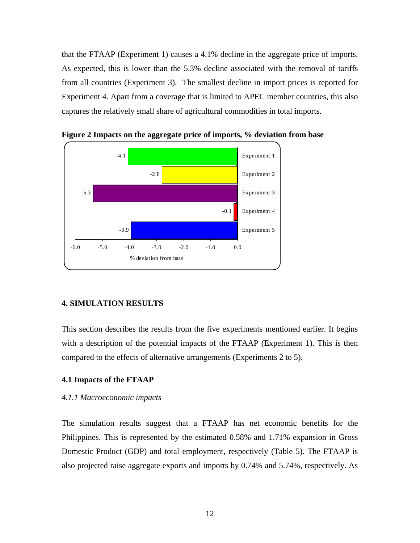that the FTAAP (Experiment 1) causes a 4.1% decline in the aggregate price of imports. As expected, this is lower than the 5.3% decline associated with the removal of tariffs from all countries (Experiment 3). The smallest decline in import prices is reported for Experiment 4. Apart from a coverage that is limited to APEC member countries, this also captures the relatively small share of agricultural commodities in total imports.



**Figure 2 Impacts on the aggregate price of imports, % deviation from base** 

#### **4. SIMULATION RESULTS**

This section describes the results from the five experiments mentioned earlier. It begins with a description of the potential impacts of the FTAAP (Experiment 1). This is then compared to the effects of alternative arrangements (Experiments 2 to 5).

#### **4.1 Impacts of the FTAAP**

### *4.1.1 Macroeconomic impacts*

The simulation results suggest that a FTAAP has net economic benefits for the Philippines. This is represented by the estimated 0.58% and 1.71% expansion in Gross Domestic Product (GDP) and total employment, respectively (Table 5). The FTAAP is also projected raise aggregate exports and imports by 0.74% and 5.74%, respectively. As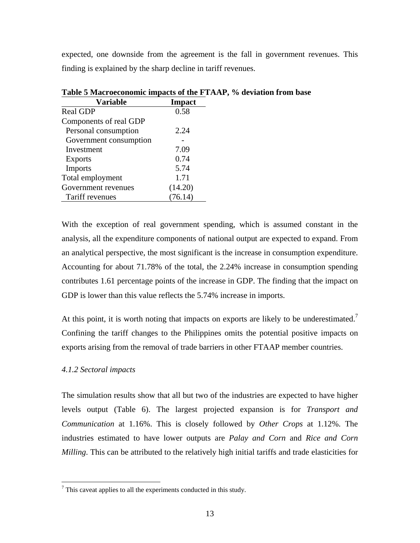expected, one downside from the agreement is the fall in government revenues. This finding is explained by the sharp decline in tariff revenues.

| <b>Variable</b>        | Impact  |
|------------------------|---------|
| <b>Real GDP</b>        | 0.58    |
| Components of real GDP |         |
| Personal consumption   | 2.24    |
| Government consumption |         |
| Investment             | 7.09    |
| <b>Exports</b>         | 0.74    |
| Imports                | 5.74    |
| Total employment       | 1.71    |
| Government revenues    | (14.20) |
| Tariff revenues        | (76.14) |

**Table 5 Macroeconomic impacts of the FTAAP, % deviation from base** 

With the exception of real government spending, which is assumed constant in the analysis, all the expenditure components of national output are expected to expand. From an analytical perspective, the most significant is the increase in consumption expenditure. Accounting for about 71.78% of the total, the 2.24% increase in consumption spending contributes 1.61 percentage points of the increase in GDP. The finding that the impact on GDP is lower than this value reflects the 5.74% increase in imports.

At this point, it is worth noting that impacts on exports are likely to be underestimated.<sup>7</sup> Confining the tariff changes to the Philippines omits the potential positive impacts on exports arising from the removal of trade barriers in other FTAAP member countries.

# *4.1.2 Sectoral impacts*

<u>.</u>

The simulation results show that all but two of the industries are expected to have higher levels output (Table 6). The largest projected expansion is for *Transport and Communication* at 1.16%. This is closely followed by *Other Crops* at 1.12%. The industries estimated to have lower outputs are *Palay and Corn* and *Rice and Corn Milling*. This can be attributed to the relatively high initial tariffs and trade elasticities for

 $7$  This caveat applies to all the experiments conducted in this study.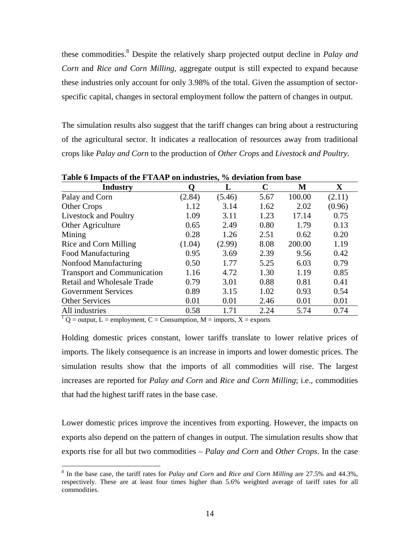these commodities.<sup>8</sup> Despite the relatively sharp projected output decline in *Palay and Corn* and *Rice and Corn Milling*, aggregate output is still expected to expand because these industries only account for only 3.98% of the total. Given the assumption of sectorspecific capital, changes in sectoral employment follow the pattern of changes in output.

The simulation results also suggest that the tariff changes can bring about a restructuring of the agricultural sector. It indicates a reallocation of resources away from traditional crops like *Palay and Corn* to the production of *Other Crops* and *Livestock and Poultry*.

| <b>Industry</b>                    | O      | L      | $\mathbf C$ | M      | $\mathbf X$ |
|------------------------------------|--------|--------|-------------|--------|-------------|
| Palay and Corn                     | (2.84) | (5.46) | 5.67        | 100.00 | (2.11)      |
| Other Crops                        | 1.12   | 3.14   | 1.62        | 2.02   | (0.96)      |
| Livestock and Poultry              | 1.09   | 3.11   | 1.23        | 17.14  | 0.75        |
| Other Agriculture                  | 0.65   | 2.49   | 0.80        | 1.79   | 0.13        |
| Mining                             | 0.28   | 1.26   | 2.51        | 0.62   | 0.20        |
| Rice and Corn Milling              | (1.04) | (2.99) | 8.08        | 200.00 | 1.19        |
| Food Manufacturing                 | 0.95   | 3.69   | 2.39        | 9.56   | 0.42        |
| Nonfood Manufacturing              | 0.50   | 1.77   | 5.25        | 6.03   | 0.79        |
| <b>Transport and Communication</b> | 1.16   | 4.72   | 1.30        | 1.19   | 0.85        |
| Retail and Wholesale Trade         | 0.79   | 3.01   | 0.88        | 0.81   | 0.41        |
| <b>Government Services</b>         | 0.89   | 3.15   | 1.02        | 0.93   | 0.54        |
| <b>Other Services</b>              | 0.01   | 0.01   | 2.46        | 0.01   | 0.01        |
| All industries                     | 0.58   | 1.71   | 2.24        | 5.74   | 0.74        |

**Table 6 Impacts of the FTAAP on industries, % deviation from base** 

 $1$  Q = output, L = employment, C = Consumption, M = imports, X = exports

 $\overline{a}$ 

Holding domestic prices constant, lower tariffs translate to lower relative prices of imports. The likely consequence is an increase in imports and lower domestic prices. The simulation results show that the imports of all commodities will rise. The largest increases are reported for *Palay and Corn* and *Rice and Corn Milling*; i.e., commodities that had the highest tariff rates in the base case.

Lower domestic prices improve the incentives from exporting. However, the impacts on exports also depend on the pattern of changes in output. The simulation results show that exports rise for all but two commodities – *Palay and Corn* and *Other Crops*. In the case

<sup>8</sup> In the base case, the tariff rates for *Palay and Corn* and *Rice and Corn Milling* are 27.5% and 44.3%, respectively. These are at least four times higher than 5.6% weighted average of tariff rates for all commodities.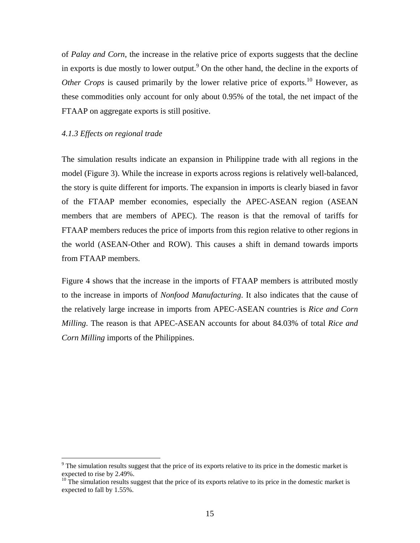of *Palay and Corn*, the increase in the relative price of exports suggests that the decline in exports is due mostly to lower output.<sup>9</sup> On the other hand, the decline in the exports of *Other Crops* is caused primarily by the lower relative price of exports.<sup>10</sup> However, as these commodities only account for only about 0.95% of the total, the net impact of the FTAAP on aggregate exports is still positive.

#### *4.1.3 Effects on regional trade*

 $\overline{a}$ 

The simulation results indicate an expansion in Philippine trade with all regions in the model (Figure 3). While the increase in exports across regions is relatively well-balanced, the story is quite different for imports. The expansion in imports is clearly biased in favor of the FTAAP member economies, especially the APEC-ASEAN region (ASEAN members that are members of APEC). The reason is that the removal of tariffs for FTAAP members reduces the price of imports from this region relative to other regions in the world (ASEAN-Other and ROW). This causes a shift in demand towards imports from FTAAP members.

Figure 4 shows that the increase in the imports of FTAAP members is attributed mostly to the increase in imports of *Nonfood Manufacturing*. It also indicates that the cause of the relatively large increase in imports from APEC-ASEAN countries is *Rice and Corn Milling*. The reason is that APEC-ASEAN accounts for about 84.03% of total *Rice and Corn Milling* imports of the Philippines.

 $9<sup>9</sup>$  The simulation results suggest that the price of its exports relative to its price in the domestic market is expected to rise by 2.49%.

 $10$  The simulation results suggest that the price of its exports relative to its price in the domestic market is expected to fall by 1.55%.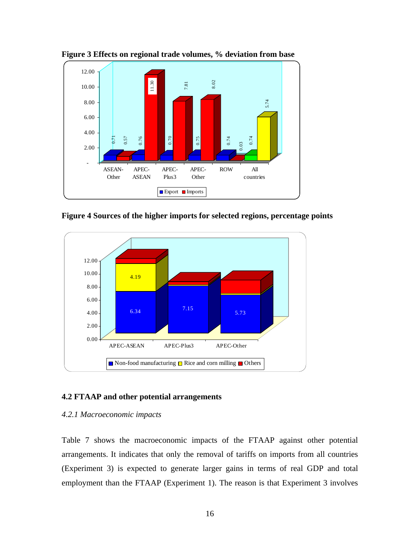

**Figure 3 Effects on regional trade volumes, % deviation from base** 

**Figure 4 Sources of the higher imports for selected regions, percentage points** 



#### **4.2 FTAAP and other potential arrangements**

#### *4.2.1 Macroeconomic impacts*

Table 7 shows the macroeconomic impacts of the FTAAP against other potential arrangements. It indicates that only the removal of tariffs on imports from all countries (Experiment 3) is expected to generate larger gains in terms of real GDP and total employment than the FTAAP (Experiment 1). The reason is that Experiment 3 involves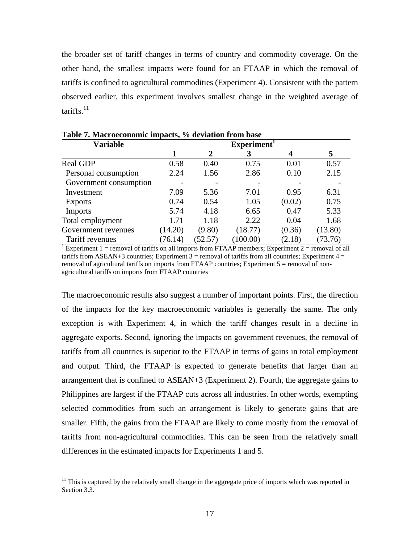the broader set of tariff changes in terms of country and commodity coverage. On the other hand, the smallest impacts were found for an FTAAP in which the removal of tariffs is confined to agricultural commodities (Experiment 4). Consistent with the pattern observed earlier, this experiment involves smallest change in the weighted average of tariffs. $^{11}$ 

| <b>Variable</b>                                                                                                 |         | Experiment <sup>1</sup> |          |        |         |  |
|-----------------------------------------------------------------------------------------------------------------|---------|-------------------------|----------|--------|---------|--|
|                                                                                                                 |         | 2                       | 3        | 4      | 5       |  |
| Real GDP                                                                                                        | 0.58    | 0.40                    | 0.75     | 0.01   | 0.57    |  |
| Personal consumption                                                                                            | 2.24    | 1.56                    | 2.86     | 0.10   | 2.15    |  |
| Government consumption                                                                                          |         |                         |          |        |         |  |
| Investment                                                                                                      | 7.09    | 5.36                    | 7.01     | 0.95   | 6.31    |  |
| <b>Exports</b>                                                                                                  | 0.74    | 0.54                    | 1.05     | (0.02) | 0.75    |  |
| <b>Imports</b>                                                                                                  | 5.74    | 4.18                    | 6.65     | 0.47   | 5.33    |  |
| Total employment                                                                                                | 1.71    | 1.18                    | 2.22     | 0.04   | 1.68    |  |
| Government revenues                                                                                             | (14.20) | (9.80)                  | (18.77)  | (0.36) | (13.80) |  |
| Tariff revenues                                                                                                 | (76.14) | (52.57)                 | (100.00) | (2.18) | (73.76) |  |
| <sup>1</sup> Experiment 1 = removal of tariffs on all imports from FTAAP members; Experiment 2 = removal of all |         |                         |          |        |         |  |

**Table 7. Macroeconomic impacts, % deviation from base** 

tariffs from ASEAN+3 countries; Experiment  $3 =$  removal of tariffs from all countries; Experiment  $4 =$ removal of agricultural tariffs on imports from FTAAP countries; Experiment 5 = removal of nonagricultural tariffs on imports from FTAAP countries

The macroeconomic results also suggest a number of important points. First, the direction of the impacts for the key macroeconomic variables is generally the same. The only exception is with Experiment 4, in which the tariff changes result in a decline in aggregate exports. Second, ignoring the impacts on government revenues, the removal of tariffs from all countries is superior to the FTAAP in terms of gains in total employment and output. Third, the FTAAP is expected to generate benefits that larger than an arrangement that is confined to ASEAN+3 (Experiment 2). Fourth, the aggregate gains to Philippines are largest if the FTAAP cuts across all industries. In other words, exempting selected commodities from such an arrangement is likely to generate gains that are smaller. Fifth, the gains from the FTAAP are likely to come mostly from the removal of tariffs from non-agricultural commodities. This can be seen from the relatively small differences in the estimated impacts for Experiments 1 and 5.

 $\overline{a}$ 

 $11$  This is captured by the relatively small change in the aggregate price of imports which was reported in Section 3.3.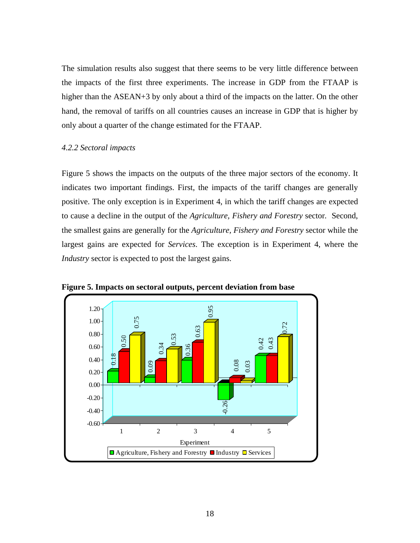The simulation results also suggest that there seems to be very little difference between the impacts of the first three experiments. The increase in GDP from the FTAAP is higher than the ASEAN+3 by only about a third of the impacts on the latter. On the other hand, the removal of tariffs on all countries causes an increase in GDP that is higher by only about a quarter of the change estimated for the FTAAP.

#### *4.2.2 Sectoral impacts*

Figure 5 shows the impacts on the outputs of the three major sectors of the economy. It indicates two important findings. First, the impacts of the tariff changes are generally positive. The only exception is in Experiment 4, in which the tariff changes are expected to cause a decline in the output of the *Agriculture, Fishery and Forestry* sector*.* Second, the smallest gains are generally for the *Agriculture, Fishery and Forestry* sector while the largest gains are expected for *Services*. The exception is in Experiment 4, where the *Industry* sector is expected to post the largest gains.



**Figure 5. Impacts on sectoral outputs, percent deviation from base**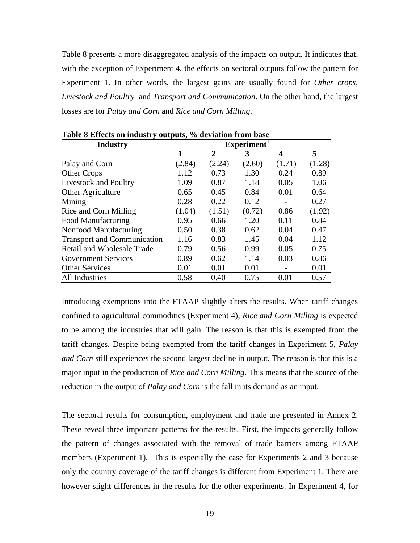Table 8 presents a more disaggregated analysis of the impacts on output. It indicates that, with the exception of Experiment 4, the effects on sectoral outputs follow the pattern for Experiment 1. In other words, the largest gains are usually found for *Other crops*, *Livestock and Poultry* and *Transport and Communication*. On the other hand, the largest losses are for *Palay and Corn* and *Rice and Corn Milling*.

| <b>Industry</b>                    |        | Experiment <sup>1</sup> |        |        |        |
|------------------------------------|--------|-------------------------|--------|--------|--------|
|                                    | 1      | 2                       | 3      | 4      | 5      |
| Palay and Corn                     | (2.84) | (2.24)                  | (2.60) | (1.71) | (1.28) |
| <b>Other Crops</b>                 | 1.12   | 0.73                    | 1.30   | 0.24   | 0.89   |
| <b>Livestock and Poultry</b>       | 1.09   | 0.87                    | 1.18   | 0.05   | 1.06   |
| Other Agriculture                  | 0.65   | 0.45                    | 0.84   | 0.01   | 0.64   |
| Mining                             | 0.28   | 0.22                    | 0.12   |        | 0.27   |
| Rice and Corn Milling              | (1.04) | (1.51)                  | (0.72) | 0.86   | (1.92) |
| Food Manufacturing                 | 0.95   | 0.66                    | 1.20   | 0.11   | 0.84   |
| Nonfood Manufacturing              | 0.50   | 0.38                    | 0.62   | 0.04   | 0.47   |
| <b>Transport and Communication</b> | 1.16   | 0.83                    | 1.45   | 0.04   | 1.12   |
| <b>Retail and Wholesale Trade</b>  | 0.79   | 0.56                    | 0.99   | 0.05   | 0.75   |
| <b>Government Services</b>         | 0.89   | 0.62                    | 1.14   | 0.03   | 0.86   |
| <b>Other Services</b>              | 0.01   | 0.01                    | 0.01   |        | 0.01   |
| All Industries                     | 0.58   | 0.40                    | 0.75   | 0.01   | 0.57   |

**Table 8 Effects on industry outputs, % deviation from base** 

Introducing exemptions into the FTAAP slightly alters the results. When tariff changes confined to agricultural commodities (Experiment 4), *Rice and Corn Milling* is expected to be among the industries that will gain. The reason is that this is exempted from the tariff changes. Despite being exempted from the tariff changes in Experiment 5, *Palay and Corn* still experiences the second largest decline in output. The reason is that this is a major input in the production of *Rice and Corn Milling*. This means that the source of the reduction in the output of *Palay and Corn* is the fall in its demand as an input.

The sectoral results for consumption, employment and trade are presented in Annex 2. These reveal three important patterns for the results. First, the impacts generally follow the pattern of changes associated with the removal of trade barriers among FTAAP members (Experiment 1). This is especially the case for Experiments 2 and 3 because only the country coverage of the tariff changes is different from Experiment 1. There are however slight differences in the results for the other experiments. In Experiment 4, for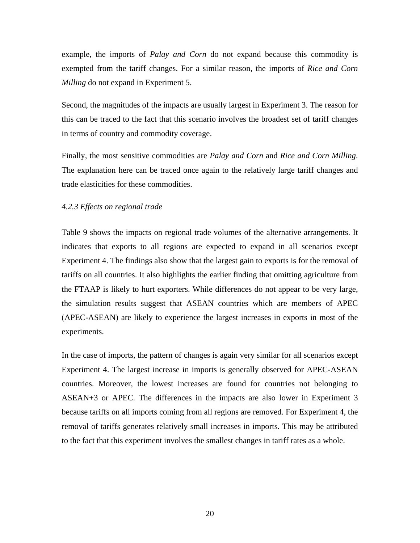example, the imports of *Palay and Corn* do not expand because this commodity is exempted from the tariff changes. For a similar reason, the imports of *Rice and Corn Milling* do not expand in Experiment 5.

Second, the magnitudes of the impacts are usually largest in Experiment 3. The reason for this can be traced to the fact that this scenario involves the broadest set of tariff changes in terms of country and commodity coverage.

Finally, the most sensitive commodities are *Palay and Corn* and *Rice and Corn Milling*. The explanation here can be traced once again to the relatively large tariff changes and trade elasticities for these commodities.

#### *4.2.3 Effects on regional trade*

Table 9 shows the impacts on regional trade volumes of the alternative arrangements. It indicates that exports to all regions are expected to expand in all scenarios except Experiment 4. The findings also show that the largest gain to exports is for the removal of tariffs on all countries. It also highlights the earlier finding that omitting agriculture from the FTAAP is likely to hurt exporters. While differences do not appear to be very large, the simulation results suggest that ASEAN countries which are members of APEC (APEC-ASEAN) are likely to experience the largest increases in exports in most of the experiments.

In the case of imports, the pattern of changes is again very similar for all scenarios except Experiment 4. The largest increase in imports is generally observed for APEC-ASEAN countries. Moreover, the lowest increases are found for countries not belonging to ASEAN+3 or APEC. The differences in the impacts are also lower in Experiment 3 because tariffs on all imports coming from all regions are removed. For Experiment 4, the removal of tariffs generates relatively small increases in imports. This may be attributed to the fact that this experiment involves the smallest changes in tariff rates as a whole.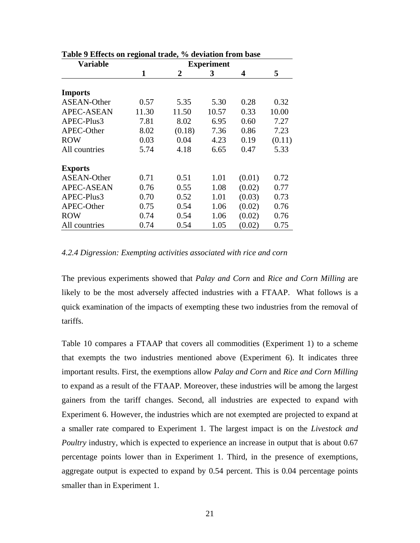| <b>Variable</b>    | <b>Experiment</b> |        |       |        |        |
|--------------------|-------------------|--------|-------|--------|--------|
|                    | 1                 | 2      | 3     | 4      | 5      |
|                    |                   |        |       |        |        |
| <b>Imports</b>     |                   |        |       |        |        |
| <b>ASEAN-Other</b> | 0.57              | 5.35   | 5.30  | 0.28   | 0.32   |
| <b>APEC-ASEAN</b>  | 11.30             | 11.50  | 10.57 | 0.33   | 10.00  |
| APEC-Plus3         | 7.81              | 8.02   | 6.95  | 0.60   | 7.27   |
| APEC-Other         | 8.02              | (0.18) | 7.36  | 0.86   | 7.23   |
| <b>ROW</b>         | 0.03              | 0.04   | 4.23  | 0.19   | (0.11) |
| All countries      | 5.74              | 4.18   | 6.65  | 0.47   | 5.33   |
| <b>Exports</b>     |                   |        |       |        |        |
| <b>ASEAN-Other</b> | 0.71              | 0.51   | 1.01  | (0.01) | 0.72   |
| <b>APEC-ASEAN</b>  | 0.76              | 0.55   | 1.08  | (0.02) | 0.77   |
| APEC-Plus3         | 0.70              | 0.52   | 1.01  | (0.03) | 0.73   |
| APEC-Other         | 0.75              | 0.54   | 1.06  | (0.02) | 0.76   |
| <b>ROW</b>         | 0.74              | 0.54   | 1.06  | (0.02) | 0.76   |
| All countries      | 0.74              | 0.54   | 1.05  | (0.02) | 0.75   |

# **Table 9 Effects on regional trade, % deviation from base**

#### *4.2.4 Digression: Exempting activities associated with rice and corn*

The previous experiments showed that *Palay and Corn* and *Rice and Corn Milling* are likely to be the most adversely affected industries with a FTAAP. What follows is a quick examination of the impacts of exempting these two industries from the removal of tariffs.

Table 10 compares a FTAAP that covers all commodities (Experiment 1) to a scheme that exempts the two industries mentioned above (Experiment 6). It indicates three important results. First, the exemptions allow *Palay and Corn* and *Rice and Corn Milling*  to expand as a result of the FTAAP. Moreover, these industries will be among the largest gainers from the tariff changes. Second, all industries are expected to expand with Experiment 6. However, the industries which are not exempted are projected to expand at a smaller rate compared to Experiment 1. The largest impact is on the *Livestock and Poultry* industry, which is expected to experience an increase in output that is about 0.67 percentage points lower than in Experiment 1. Third, in the presence of exemptions, aggregate output is expected to expand by 0.54 percent. This is 0.04 percentage points smaller than in Experiment 1.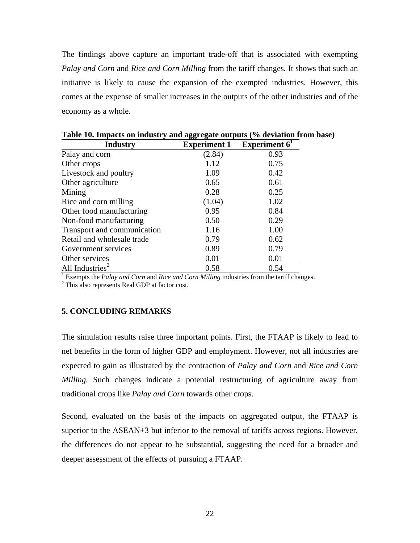The findings above capture an important trade-off that is associated with exempting *Palay and Corn* and *Rice and Corn Milling* from the tariff changes*.* It shows that such an initiative is likely to cause the expansion of the exempted industries. However, this comes at the expense of smaller increases in the outputs of the other industries and of the economy as a whole.

| <b>Industry</b>             | <b>Experiment 1</b> | Experiment $61$ |
|-----------------------------|---------------------|-----------------|
| Palay and corn              | (2.84)              | 0.93            |
| Other crops                 | 1.12                | 0.75            |
| Livestock and poultry       | 1.09                | 0.42            |
| Other agriculture           | 0.65                | 0.61            |
| Mining                      | 0.28                | 0.25            |
| Rice and corn milling       | (1.04)              | 1.02            |
| Other food manufacturing    | 0.95                | 0.84            |
| Non-food manufacturing      | 0.50                | 0.29            |
| Transport and communication | 1.16                | 1.00            |
| Retail and wholesale trade  | 0.79                | 0.62            |
| Government services         | 0.89                | 0.79            |
| Other services              | 0.01                | 0.01            |
| All Industries <sup>2</sup> | 0.58                | 0.54            |

**Table 10. Impacts on industry and aggregate outputs (% deviation from base)** 

Exempts the *Palay and Corn* and *Rice and Corn Milling* industries from the tariff changes.<br><sup>2</sup> This also represents Real GDB at faster gost.

<sup>2</sup> This also represents Real GDP at factor cost.

# **5. CONCLUDING REMARKS**

The simulation results raise three important points. First, the FTAAP is likely to lead to net benefits in the form of higher GDP and employment. However, not all industries are expected to gain as illustrated by the contraction of *Palay and Corn* and *Rice and Corn Milling.* Such changes indicate a potential restructuring of agriculture away from traditional crops like *Palay and Corn* towards other crops.

Second, evaluated on the basis of the impacts on aggregated output, the FTAAP is superior to the ASEAN+3 but inferior to the removal of tariffs across regions. However, the differences do not appear to be substantial, suggesting the need for a broader and deeper assessment of the effects of pursuing a FTAAP.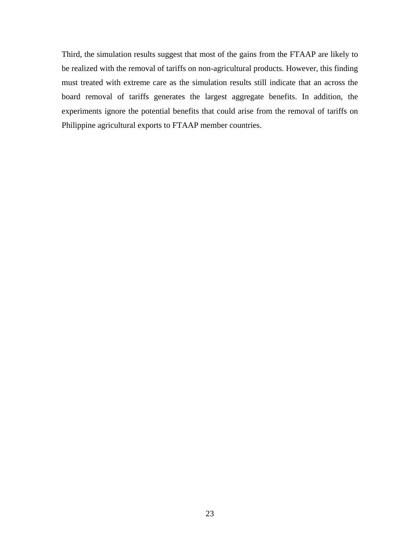Third, the simulation results suggest that most of the gains from the FTAAP are likely to be realized with the removal of tariffs on non-agricultural products. However, this finding must treated with extreme care as the simulation results still indicate that an across the board removal of tariffs generates the largest aggregate benefits. In addition, the experiments ignore the potential benefits that could arise from the removal of tariffs on Philippine agricultural exports to FTAAP member countries.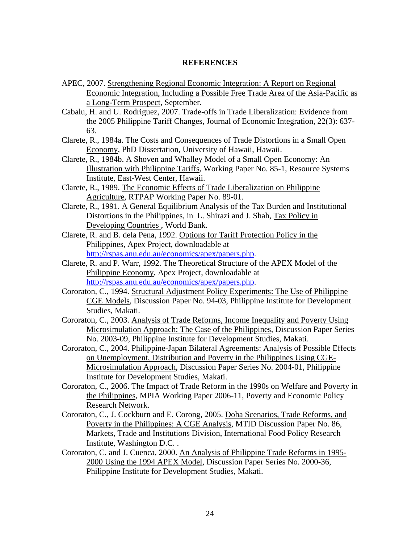### **REFERENCES**

- APEC, 2007. Strengthening Regional Economic Integration: A Report on Regional Economic Integration, Including a Possible Free Trade Area of the Asia-Pacific as a Long-Term Prospect, September.
- Cabalu, H. and U. Rodriguez, 2007. Trade-offs in Trade Liberalization: Evidence from the 2005 Philippine Tariff Changes, Journal of Economic Integration, 22(3): 637- 63.
- Clarete, R., 1984a. The Costs and Consequences of Trade Distortions in a Small Open Economy, PhD Dissertation, University of Hawaii, Hawaii.
- Clarete, R., 1984b. A Shoven and Whalley Model of a Small Open Economy: An Illustration with Philippine Tariffs, Working Paper No. 85-1, Resource Systems Institute, East-West Center, Hawaii.
- Clarete, R., 1989. The Economic Effects of Trade Liberalization on Philippine Agriculture, RTPAP Working Paper No. 89-01.
- Clarete, R., 1991. A General Equilibrium Analysis of the Tax Burden and Institutional Distortions in the Philippines, in L. Shirazi and J. Shah, Tax Policy in Developing Countries , World Bank.
- Clarete, R. and B. dela Pena, 1992. Options for Tariff Protection Policy in the Philippines, Apex Project, downloadable at http://rspas.anu.edu.au/economics/apex/papers.php.
- Clarete, R. and P. Warr, 1992. The Theoretical Structure of the APEX Model of the Philippine Economy, Apex Project, downloadable at http://rspas.anu.edu.au/economics/apex/papers.php.
- Cororaton, C., 1994. Structural Adjustment Policy Experiments: The Use of Philippine CGE Models, Discussion Paper No. 94-03, Philippine Institute for Development Studies, Makati.
- Cororaton, C., 2003. Analysis of Trade Reforms, Income Inequality and Poverty Using Microsimulation Approach: The Case of the Philippines, Discussion Paper Series No. 2003-09, Philippine Institute for Development Studies, Makati.
- Cororaton, C., 2004. Philippine-Japan Bilateral Agreements: Analysis of Possible Effects on Unemployment, Distribution and Poverty in the Philippines Using CGE-Microsimulation Approach, Discussion Paper Series No. 2004-01, Philippine Institute for Development Studies, Makati.
- Cororaton, C., 2006. The Impact of Trade Reform in the 1990s on Welfare and Poverty in the Philippines, MPIA Working Paper 2006-11, Poverty and Economic Policy Research Network.
- Cororaton, C., J. Cockburn and E. Corong, 2005. Doha Scenarios, Trade Reforms, and Poverty in the Philippines: A CGE Analysis, MTID Discussion Paper No. 86, Markets, Trade and Institutions Division, International Food Policy Research Institute, Washington D.C. .
- Cororaton, C. and J. Cuenca, 2000. An Analysis of Philippine Trade Reforms in 1995- 2000 Using the 1994 APEX Model, Discussion Paper Series No. 2000-36, Philippine Institute for Development Studies, Makati.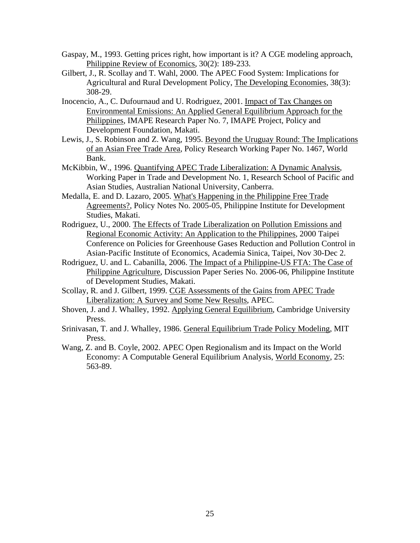- Gaspay, M., 1993. Getting prices right, how important is it? A CGE modeling approach, Philippine Review of Economics, 30(2): 189-233.
- Gilbert, J., R. Scollay and T. Wahl, 2000. The APEC Food System: Implications for Agricultural and Rural Development Policy, The Developing Economies, 38(3): 308-29.
- Inocencio, A., C. Dufournaud and U. Rodriguez, 2001. Impact of Tax Changes on Environmental Emissions: An Applied General Equilibrium Approach for the Philippines, IMAPE Research Paper No. 7, IMAPE Project, Policy and Development Foundation, Makati.
- Lewis, J., S. Robinson and Z. Wang, 1995. Beyond the Uruguay Round: The Implications of an Asian Free Trade Area, Policy Research Working Paper No. 1467, World Bank.
- McKibbin, W., 1996. Quantifying APEC Trade Liberalization: A Dynamic Analysis, Working Paper in Trade and Development No. 1, Research School of Pacific and Asian Studies, Australian National University, Canberra.
- Medalla, E. and D. Lazaro, 2005. What's Happening in the Philippine Free Trade Agreements?, Policy Notes No. 2005-05, Philippine Institute for Development Studies, Makati.
- Rodriguez, U., 2000. The Effects of Trade Liberalization on Pollution Emissions and Regional Economic Activity: An Application to the Philippines, 2000 Taipei Conference on Policies for Greenhouse Gases Reduction and Pollution Control in Asian-Pacific Institute of Economics, Academia Sinica, Taipei, Nov 30-Dec 2.
- Rodriguez, U. and L. Cabanilla, 2006. The Impact of a Philippine-US FTA: The Case of Philippine Agriculture, Discussion Paper Series No. 2006-06, Philippine Institute of Development Studies, Makati.
- Scollay, R. and J. Gilbert, 1999. CGE Assessments of the Gains from APEC Trade Liberalization: A Survey and Some New Results, APEC.
- Shoven, J. and J. Whalley, 1992. Applying General Equilibrium, Cambridge University Press.
- Srinivasan, T. and J. Whalley, 1986. General Equilibrium Trade Policy Modeling, MIT Press.
- Wang, Z. and B. Coyle, 2002. APEC Open Regionalism and its Impact on the World Economy: A Computable General Equilibrium Analysis, World Economy, 25: 563-89.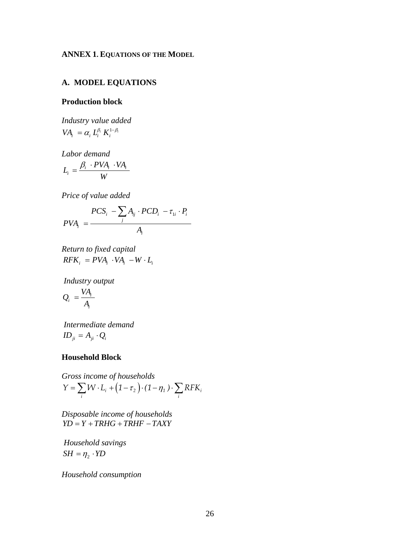# **ANNEX 1. EQUATIONS OF THE MODEL**

# **A. MODEL EQUATIONS**

# **Production block**

*Industry value added*   $VA_i = \alpha_i L_i^{\beta_i} K_i^{1-\beta_i}$ 

*Labor demand* 

$$
L_i = \frac{\beta_i \cdot PVA_i \cdot VA_i}{W}
$$

*Price of value added* 

$$
PCS_i - \sum_j A_{ij} \cdot PCD_i - \tau_{1i} \cdot P_i
$$
  

$$
PVA_i = \frac{1}{A_i}
$$

*Return to fixed capital*   $RFK_i = PVA_i \cdot VA_i - W \cdot L_i$ 

 *Industry output* 

$$
Q_i = \frac{VA_i}{A_i}
$$

 *Intermediate demand*   $$ 

#### **Household Block**

Gross income of households  
\n
$$
Y = \sum_i W \cdot L_i + (1 - \tau_2) \cdot (1 - \eta_1) \cdot \sum_i RFK_i
$$

*Disposable income of households*   $\overrightarrow{Y} = \overrightarrow{Y} + \overrightarrow{TRHG} + \overrightarrow{TRHF} - \overrightarrow{TAXY}$ 

 *Household savings*   $SH = \eta_2 \cdot YD$ 

*Household consumption*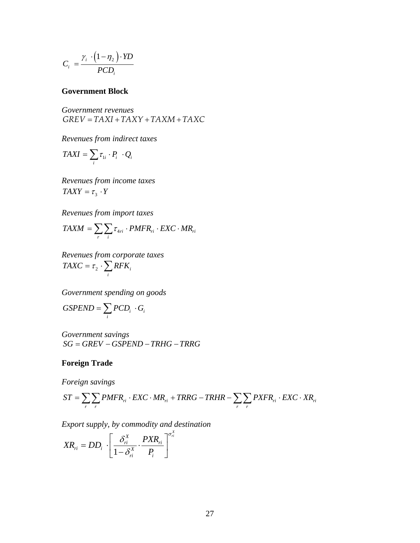$$
C_i = \frac{\gamma_i \cdot (1 - \eta_2) \cdot YD}{PCD_i}
$$

### **Government Block**

*Government revenues*   $GREV = TAXI + TAXY + TAXM + TAXC$ 

*Revenues from indirect taxes* 

$$
TAXI = \sum_{i} \tau_{1i} \cdot P_i \cdot Q_i
$$

*Revenues from income taxes*   $TAXY = \tau_3 \cdot Y$ 

*Revenues from import taxes* 

$$
TAXM = \sum_{r} \sum_{i} \tau_{4ri} \cdot PMFR_{ri} \cdot EXC \cdot MR_{ri}
$$

*Revenues from corporate taxes*  2  $\sum_{i}$ <sup> $\sum_{i}$ </sup>  $TAXC = \tau_2 \cdot \sum_i RFK$ 

*Government spending on goods* 

$$
GSPEND = \sum_i PCD_i \cdot G_i
$$

*Government savings*   $SG = GREV - GSPEND - TRHG - TRRG$ 

# **Foreign Trade**

*Foreign savings* 

$$
ST = \sum_{r} \sum_{r} PMFR_{ri} \cdot EXC \cdot MR_{ri} + TRRG - TRHR - \sum_{r} \sum_{r} PXFR_{ri} \cdot EXC \cdot XR_{ri}
$$

*Export supply, by commodity and destination* 

$$
XR_{ri} = DD_i \cdot \left[ \frac{\delta_{ri}^X}{1 - \delta_{ri}^X} \cdot \frac{PXR_{ri}}{P_i} \right]^{\sigma_i^X}
$$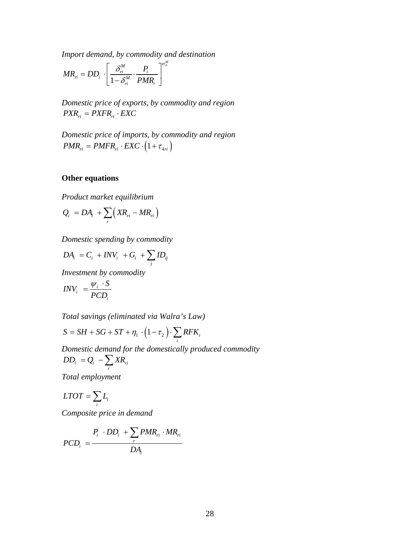*Import demand, by commodity and destination* 

$$
MR_{ri} = DD_i \cdot \left[ \frac{\delta_{ri}^M}{1 - \delta_{ri}^M} \cdot \frac{P_i}{PMR_i} \right]_{\sigma_{ri}^M}
$$

*Domestic price of exports, by commodity and region*   $PXR_{ri} = PXFR_{ri} \cdot EXC$ 

*Domestic price of imports, by commodity and region*   $PMR_{ri} = PMFR_{ri} \cdot EXC \cdot (1 + \tau_{4ri})$ 

# **Other equations**

*Product market equilibrium* 

$$
Q_i = DA_i + \sum_r \Big(XR_{ri} - MR_{ri}\Big)
$$

*Domestic spending by commodity* 

$$
DA_i = C_i + INV_i + G_i + \sum_j ID_{ij}
$$

*Investment by commodity* 

$$
INV_{i} = \frac{\psi_{i} \cdot S}{PCD_{i}}
$$

*Total savings (eliminated via Walra's Law)*

$$
S = SH + SG + ST + \eta_1 \cdot (1 - \tau_2) \cdot \sum_i RFK_i
$$

*Domestic demand for the domestically produced commodity*   $i = \mathcal{Q}_i \sum_i \mathbf{M}_{ri}$  $DD_i = Q_i - \sum_r XR$ 

*Total employment* 

$$
LTOT = \sum_{i} L_i
$$

*Composite price in demand* 

$$
PCD_i = \frac{P_i \cdot DD_i + \sum_r PMR_{ri} \cdot MR_{ri}}{DA_i}
$$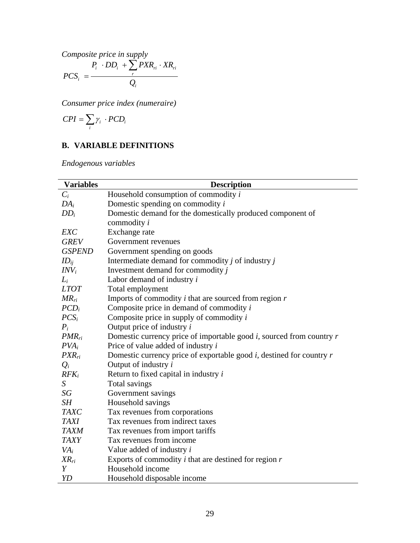*Composite price in supply* 

$$
PCS_{i} = \frac{P_{i} \cdot DD_{i} + \sum_{r} PXR_{ri} \cdot XR_{ri}}{Q_{i}}
$$

*Consumer price index (numeraire)* 

$$
CPI = \sum_i \gamma_i \cdot PCD_i
$$

# **B. VARIABLE DEFINITIONS**

*Endogenous variables* 

| <b>Variables</b> | <b>Description</b>                                                        |
|------------------|---------------------------------------------------------------------------|
| $C_i$            | Household consumption of commodity i                                      |
| $DA_i$           | Domestic spending on commodity $i$                                        |
| $DD_i$           | Domestic demand for the domestically produced component of                |
|                  | commodity <i>i</i>                                                        |
| <b>EXC</b>       | Exchange rate                                                             |
| <b>GREV</b>      | Government revenues                                                       |
| <b>GSPEND</b>    | Government spending on goods                                              |
| $ID_{ii}$        | Intermediate demand for commodity $j$ of industry $j$                     |
| $INV_i$          | Investment demand for commodity j                                         |
| $L_i$            | Labor demand of industry $i$                                              |
| <b>LTOT</b>      | Total employment                                                          |
| $MR_{ri}$        | Imports of commodity $i$ that are sourced from region $r$                 |
| $PCD_i$          | Composite price in demand of commodity $i$                                |
| $PCS_i$          | Composite price in supply of commodity $i$                                |
| $P_i$            | Output price of industry $i$                                              |
| $PMR_{ri}$       | Domestic currency price of importable good $i$ , sourced from country $r$ |
| $PVA_i$          | Price of value added of industry $i$                                      |
| $PXR_{ri}$       | Domestic currency price of exportable good $i$ , destined for country $r$ |
| $Q_i$            | Output of industry i                                                      |
| $RFK_i$          | Return to fixed capital in industry $i$                                   |
| $S_{\cdot}$      | Total savings                                                             |
| SG               | Government savings                                                        |
| SH               | Household savings                                                         |
| <b>TAXC</b>      | Tax revenues from corporations                                            |
| <b>TAXI</b>      | Tax revenues from indirect taxes                                          |
| <b>TAXM</b>      | Tax revenues from import tariffs                                          |
| <b>TAXY</b>      | Tax revenues from income                                                  |
| $VA_i$           | Value added of industry $i$                                               |
| $XR_{ri}$        | Exports of commodity $i$ that are destined for region $r$                 |
| Y                | Household income                                                          |
| YD               | Household disposable income                                               |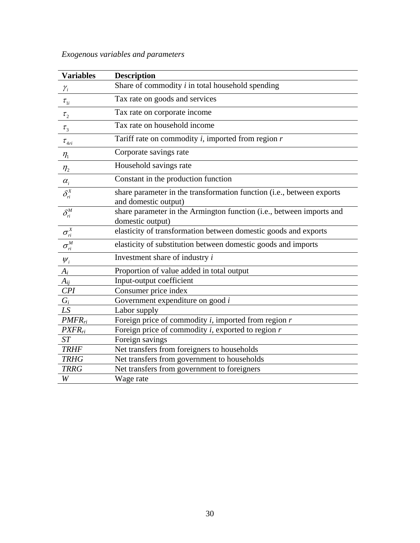| <b>Variables</b>                                                         | <b>Description</b>                                                    |
|--------------------------------------------------------------------------|-----------------------------------------------------------------------|
| $\mathcal{Y}_i$                                                          | Share of commodity $i$ in total household spending                    |
| $\tau_{1i}$                                                              | Tax rate on goods and services                                        |
| $\tau_{2}$                                                               | Tax rate on corporate income                                          |
| $\tau_{3}$                                                               | Tax rate on household income                                          |
| $\tau_{4ri}$                                                             | Tariff rate on commodity $i$ , imported from region $r$               |
| $\eta_1$                                                                 | Corporate savings rate                                                |
| $\eta_{2}$                                                               | Household savings rate                                                |
|                                                                          | Constant in the production function                                   |
| $\frac{\alpha_i}{\delta_n^x}$                                            | share parameter in the transformation function (i.e., between exports |
|                                                                          | and domestic output)                                                  |
| $\delta^M_{\vec{n}}$                                                     | share parameter in the Armington function (i.e., between imports and  |
|                                                                          | domestic output)                                                      |
| $\sigma_{ri}^X$                                                          | elasticity of transformation between domestic goods and exports       |
| $\overline{\sigma_{\scriptscriptstyle r\:\!\!i}^{\scriptscriptstyle M}}$ | elasticity of substitution between domestic goods and imports         |
| $W_i$                                                                    | Investment share of industry $i$                                      |
| $A_i$                                                                    | Proportion of value added in total output                             |
| $A_{ij}$                                                                 | Input-output coefficient                                              |
| CPI                                                                      | Consumer price index                                                  |
| $G_i$                                                                    | Government expenditure on good $i$                                    |
| LS                                                                       | Labor supply                                                          |
| $PMFR_{ri}$                                                              | Foreign price of commodity $i$ , imported from region $r$             |
| $PXFR_{ri}$                                                              | Foreign price of commodity $i$ , exported to region $r$               |
| ST                                                                       | Foreign savings                                                       |
| <b>TRHF</b>                                                              | Net transfers from foreigners to households                           |
| <b>TRHG</b>                                                              | Net transfers from government to households                           |
| <b>TRRG</b>                                                              | Net transfers from government to foreigners                           |
| W                                                                        | Wage rate                                                             |

# *Exogenous variables and parameters*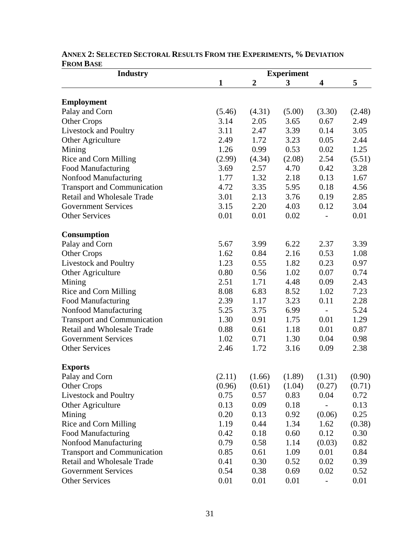| <b>Industry</b>                    | <b>Experiment</b> |                  |        |                         |        |  |
|------------------------------------|-------------------|------------------|--------|-------------------------|--------|--|
|                                    | $\mathbf{1}$      | $\boldsymbol{2}$ | 3      | $\overline{\mathbf{4}}$ | 5      |  |
|                                    |                   |                  |        |                         |        |  |
| <b>Employment</b>                  |                   |                  |        |                         |        |  |
| Palay and Corn                     | (5.46)            | (4.31)           | (5.00) | (3.30)                  | (2.48) |  |
| <b>Other Crops</b>                 | 3.14              | 2.05             | 3.65   | 0.67                    | 2.49   |  |
| Livestock and Poultry              | 3.11              | 2.47             | 3.39   | 0.14                    | 3.05   |  |
| Other Agriculture                  | 2.49              | 1.72             | 3.23   | 0.05                    | 2.44   |  |
| Mining                             | 1.26              | 0.99             | 0.53   | 0.02                    | 1.25   |  |
| Rice and Corn Milling              | (2.99)            | (4.34)           | (2.08) | 2.54                    | (5.51) |  |
| <b>Food Manufacturing</b>          | 3.69              | 2.57             | 4.70   | 0.42                    | 3.28   |  |
| Nonfood Manufacturing              | 1.77              | 1.32             | 2.18   | 0.13                    | 1.67   |  |
| <b>Transport and Communication</b> | 4.72              | 3.35             | 5.95   | 0.18                    | 4.56   |  |
| <b>Retail and Wholesale Trade</b>  | 3.01              | 2.13             | 3.76   | 0.19                    | 2.85   |  |
| <b>Government Services</b>         | 3.15              | 2.20             | 4.03   | 0.12                    | 3.04   |  |
| <b>Other Services</b>              | 0.01              | 0.01             | 0.02   |                         | 0.01   |  |
| <b>Consumption</b>                 |                   |                  |        |                         |        |  |
| Palay and Corn                     | 5.67              | 3.99             | 6.22   | 2.37                    | 3.39   |  |
| <b>Other Crops</b>                 | 1.62              | 0.84             | 2.16   | 0.53                    | 1.08   |  |
| Livestock and Poultry              | 1.23              | 0.55             | 1.82   | 0.23                    | 0.97   |  |
| Other Agriculture                  | 0.80              | 0.56             | 1.02   | 0.07                    | 0.74   |  |
| Mining                             | 2.51              | 1.71             | 4.48   | 0.09                    | 2.43   |  |
| Rice and Corn Milling              | 8.08              | 6.83             | 8.52   | 1.02                    | 7.23   |  |
| <b>Food Manufacturing</b>          | 2.39              | 1.17             | 3.23   | 0.11                    | 2.28   |  |
| Nonfood Manufacturing              | 5.25              | 3.75             | 6.99   |                         | 5.24   |  |
| <b>Transport and Communication</b> | 1.30              | 0.91             | 1.75   | 0.01                    | 1.29   |  |
| <b>Retail and Wholesale Trade</b>  | 0.88              | 0.61             | 1.18   | 0.01                    | 0.87   |  |
| <b>Government Services</b>         | 1.02              | 0.71             | 1.30   | 0.04                    | 0.98   |  |
| <b>Other Services</b>              | 2.46              | 1.72             | 3.16   | 0.09                    | 2.38   |  |
| <b>Exports</b>                     |                   |                  |        |                         |        |  |
| Palay and Corn                     | (2.11)            | (1.66)           | (1.89) | (1.31)                  | (0.90) |  |
| <b>Other Crops</b>                 | (0.96)            | (0.61)           | (1.04) | (0.27)                  | (0.71) |  |
| Livestock and Poultry              | 0.75              | 0.57             | 0.83   | 0.04                    | 0.72   |  |
| Other Agriculture                  | 0.13              | 0.09             | 0.18   |                         | 0.13   |  |
| Mining                             | 0.20              | 0.13             | 0.92   | (0.06)                  | 0.25   |  |
| Rice and Corn Milling              | 1.19              | 0.44             | 1.34   | 1.62                    | (0.38) |  |
| <b>Food Manufacturing</b>          | 0.42              | 0.18             | 0.60   | 0.12                    | 0.30   |  |
| Nonfood Manufacturing              | 0.79              | 0.58             | 1.14   | (0.03)                  | 0.82   |  |
| <b>Transport and Communication</b> | 0.85              | 0.61             | 1.09   | 0.01                    | 0.84   |  |
| Retail and Wholesale Trade         | 0.41              | 0.30             | 0.52   | 0.02                    | 0.39   |  |
| <b>Government Services</b>         | 0.54              | 0.38             | 0.69   | 0.02                    | 0.52   |  |
| <b>Other Services</b>              | 0.01              | 0.01             | 0.01   |                         | 0.01   |  |
|                                    |                   |                  |        |                         |        |  |

# **ANNEX 2: SELECTED SECTORAL RESULTS FROM THE EXPERIMENTS, % DEVIATION FROM BASE**